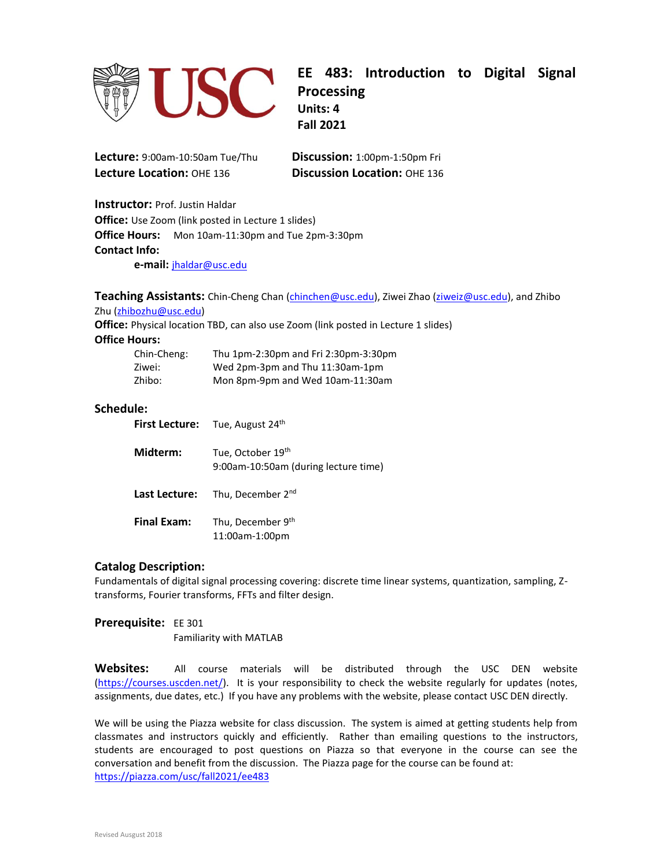

**EE 483: Introduction to Digital Signal Processing Units: 4 Fall 2021**

**Lecture:** 9:00am-10:50am Tue/Thu **Discussion:** 1:00pm-1:50pm Fri **Lecture Location:** OHE 136 **Discussion Location:** OHE 136

**Instructor:** Prof. Justin Haldar **Office:** Use Zoom (link posted in Lecture 1 slides) **Office Hours:** Mon 10am-11:30pm and Tue 2pm-3:30pm **Contact Info:**

**e-mail:** [jhaldar@usc.edu](mailto:jhaldar@usc.edu)

**Teaching Assistants:** Chin-Cheng Chan [\(chinchen@usc.edu\)](mailto:chinchen@usc.edu), Ziwei Zhao [\(ziweiz@usc.edu\)](mailto:ziweiz@usc.edu), and Zhibo Zhu [\(zhibozhu@usc.edu\)](mailto:zhibozhu@usc.edu)

**Office:** Physical location TBD, can also use Zoom (link posted in Lecture 1 slides)

#### **Office Hours:**

| Chin-Cheng: | Thu 1pm-2:30pm and Fri 2:30pm-3:30pm |
|-------------|--------------------------------------|
| Ziwei:      | Wed 2pm-3pm and Thu 11:30am-1pm      |
| Zhibo:      | Mon 8pm-9pm and Wed 10am-11:30am     |

## **Schedule:**

|                    | First Lecture: Tue, August 24th                           |
|--------------------|-----------------------------------------------------------|
| Midterm:           | Tue, October 19th<br>9:00am-10:50am (during lecture time) |
|                    | <b>Last Lecture:</b> Thu, December 2 <sup>nd</sup>        |
| <b>Final Exam:</b> | Thu, December 9th<br>11:00am-1:00pm                       |

#### **Catalog Description:**

Fundamentals of digital signal processing covering: discrete time linear systems, quantization, sampling, Ztransforms, Fourier transforms, FFTs and filter design.

**Prerequisite:** EE 301 Familiarity with MATLAB

**Websites:** All course materials will be distributed through the USC DEN website [\(https://courses.uscden.net/\)](https://courses.uscden.net/). It is your responsibility to check the website regularly for updates (notes, assignments, due dates, etc.) If you have any problems with the website, please contact USC DEN directly.

We will be using the Piazza website for class discussion. The system is aimed at getting students help from classmates and instructors quickly and efficiently. Rather than emailing questions to the instructors, students are encouraged to post questions on Piazza so that everyone in the course can see the conversation and benefit from the discussion. The Piazza page for the course can be found at: <https://piazza.com/usc/fall2021/ee483>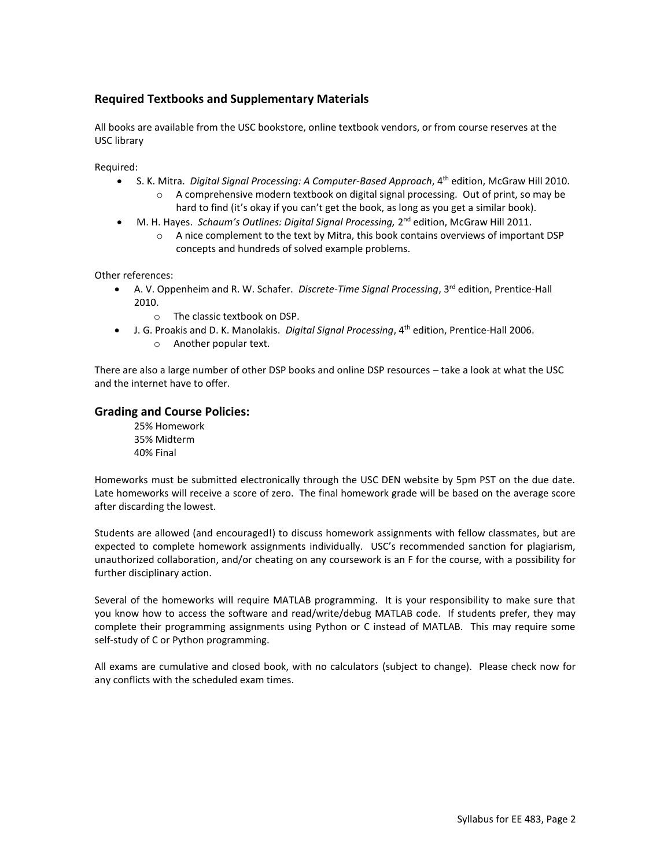# **Required Textbooks and Supplementary Materials**

All books are available from the USC bookstore, online textbook vendors, or from course reserves at the USC library

Required:

- S. K. Mitra. *Digital Signal Processing: A Computer-Based Approach*, 4th edition, McGraw Hill 2010.  $\circ$  A comprehensive modern textbook on digital signal processing. Out of print, so may be
	- hard to find (it's okay if you can't get the book, as long as you get a similar book).
- M. H. Hayes. Schaum's Outlines: Digital Signal Processing, 2<sup>nd</sup> edition, McGraw Hill 2011.
	- o A nice complement to the text by Mitra, this book contains overviews of important DSP concepts and hundreds of solved example problems.

Other references:

- A. V. Oppenheim and R. W. Schafer. *Discrete-Time Signal Processing*, 3<sup>rd</sup> edition, Prentice-Hall 2010.
	- o The classic textbook on DSP.
- J. G. Proakis and D. K. Manolakis. *Digital Signal Processing*, 4th edition, Prentice-Hall 2006.
	- o Another popular text.

There are also a large number of other DSP books and online DSP resources – take a look at what the USC and the internet have to offer.

## **Grading and Course Policies:**

25% Homework 35% Midterm 40% Final

Homeworks must be submitted electronically through the USC DEN website by 5pm PST on the due date. Late homeworks will receive a score of zero. The final homework grade will be based on the average score after discarding the lowest.

Students are allowed (and encouraged!) to discuss homework assignments with fellow classmates, but are expected to complete homework assignments individually. USC's recommended sanction for plagiarism, unauthorized collaboration, and/or cheating on any coursework is an F for the course, with a possibility for further disciplinary action.

Several of the homeworks will require MATLAB programming. It is your responsibility to make sure that you know how to access the software and read/write/debug MATLAB code. If students prefer, they may complete their programming assignments using Python or C instead of MATLAB. This may require some self-study of C or Python programming.

All exams are cumulative and closed book, with no calculators (subject to change). Please check now for any conflicts with the scheduled exam times.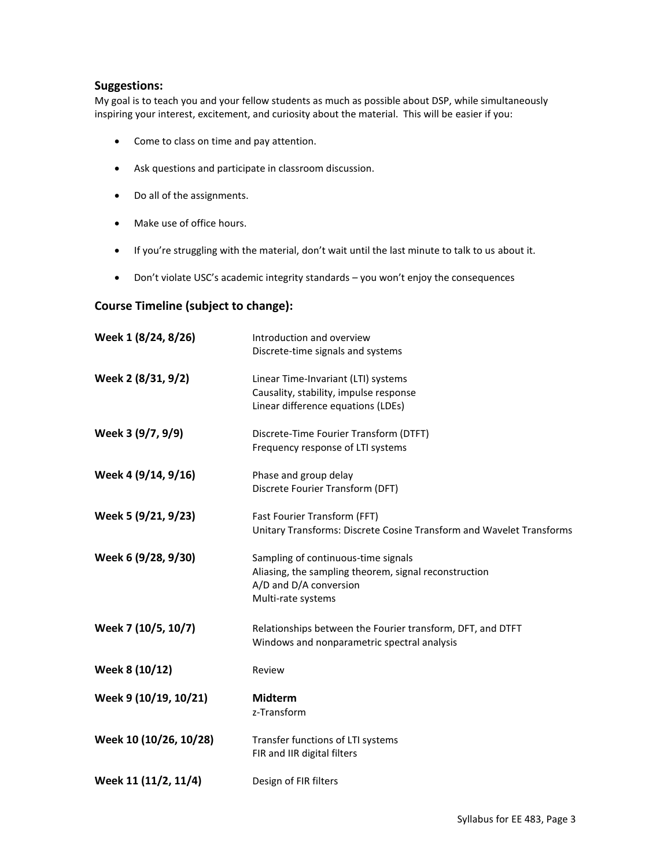## **Suggestions:**

My goal is to teach you and your fellow students as much as possible about DSP, while simultaneously inspiring your interest, excitement, and curiosity about the material. This will be easier if you:

- Come to class on time and pay attention.
- Ask questions and participate in classroom discussion.
- Do all of the assignments.
- Make use of office hours.
- If you're struggling with the material, don't wait until the last minute to talk to us about it.
- Don't violate USC's academic integrity standards you won't enjoy the consequences

## **Course Timeline (subject to change):**

| Week 1 (8/24, 8/26)    | Introduction and overview<br>Discrete-time signals and systems                                                                               |
|------------------------|----------------------------------------------------------------------------------------------------------------------------------------------|
| Week 2 (8/31, 9/2)     | Linear Time-Invariant (LTI) systems<br>Causality, stability, impulse response<br>Linear difference equations (LDEs)                          |
| Week 3 (9/7, 9/9)      | Discrete-Time Fourier Transform (DTFT)<br>Frequency response of LTI systems                                                                  |
| Week 4 (9/14, 9/16)    | Phase and group delay<br>Discrete Fourier Transform (DFT)                                                                                    |
| Week 5 (9/21, 9/23)    | Fast Fourier Transform (FFT)<br>Unitary Transforms: Discrete Cosine Transform and Wavelet Transforms                                         |
| Week 6 (9/28, 9/30)    | Sampling of continuous-time signals<br>Aliasing, the sampling theorem, signal reconstruction<br>A/D and D/A conversion<br>Multi-rate systems |
| Week 7 (10/5, 10/7)    | Relationships between the Fourier transform, DFT, and DTFT<br>Windows and nonparametric spectral analysis                                    |
| Week 8 (10/12)         | Review                                                                                                                                       |
| Week 9 (10/19, 10/21)  | <b>Midterm</b><br>z-Transform                                                                                                                |
| Week 10 (10/26, 10/28) | Transfer functions of LTI systems<br>FIR and IIR digital filters                                                                             |
| Week 11 (11/2, 11/4)   | Design of FIR filters                                                                                                                        |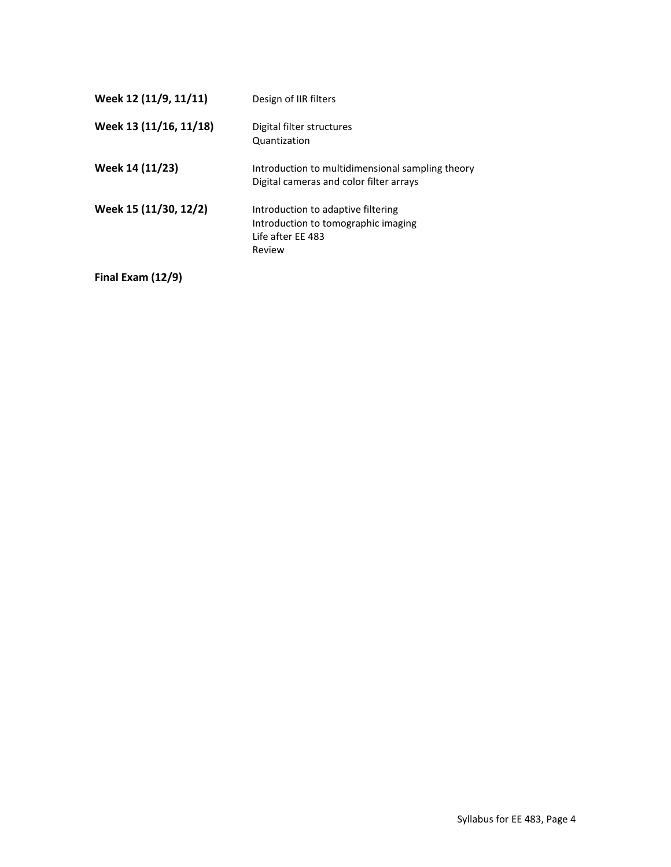| Week 12 (11/9, 11/11)  | Design of IIR filters                                                                                    |
|------------------------|----------------------------------------------------------------------------------------------------------|
| Week 13 (11/16, 11/18) | Digital filter structures<br>Quantization                                                                |
| Week 14 (11/23)        | Introduction to multidimensional sampling theory<br>Digital cameras and color filter arrays              |
| Week 15 (11/30, 12/2)  | Introduction to adaptive filtering<br>Introduction to tomographic imaging<br>Life after EE 483<br>Review |

**Final Exam (12/9)**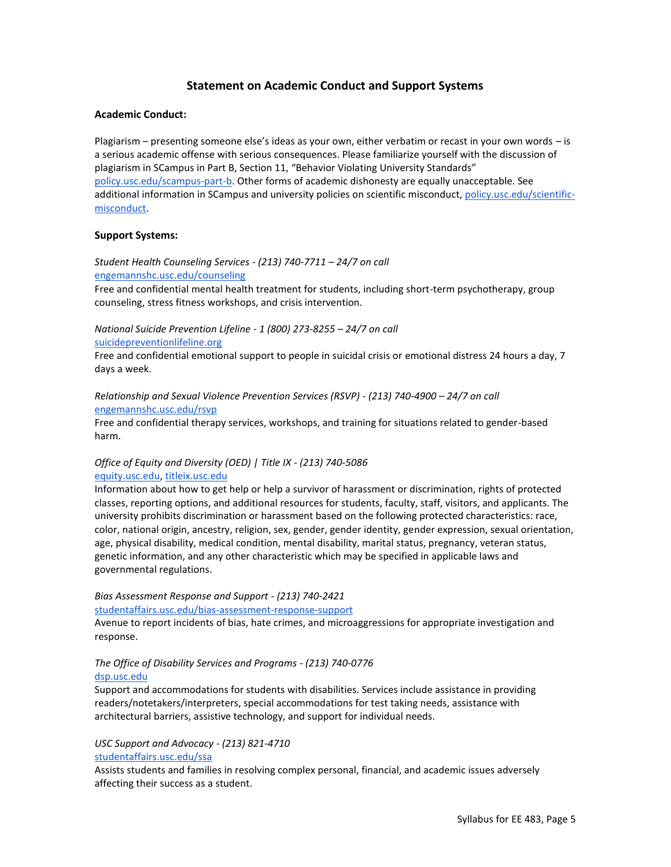## **Statement on Academic Conduct and Support Systems**

#### **Academic Conduct:**

Plagiarism – presenting someone else's ideas as your own, either verbatim or recast in your own words – is a serious academic offense with serious consequences. Please familiarize yourself with the discussion of plagiarism in SCampus in Part B, Section 11, "Behavior Violating University Standards" [policy.usc.edu/scampus-part-b.](https://policy.usc.edu/scampus-part-b/) Other forms of academic dishonesty are equally unacceptable. See additional information in SCampus and university policies on scientific misconduct[, policy.usc.edu/scientific](http://policy.usc.edu/scientific-misconduct)[misconduct.](http://policy.usc.edu/scientific-misconduct)

#### **Support Systems:**

*Student Health Counseling Services - (213) 740-7711 – 24/7 on call* [engemannshc.usc.edu/counseling](https://engemannshc.usc.edu/counseling/)

Free and confidential mental health treatment for students, including short-term psychotherapy, group counseling, stress fitness workshops, and crisis intervention.

*National Suicide Prevention Lifeline - 1 (800) 273-8255 – 24/7 on call* [suicidepreventionlifeline.org](http://www.suicidepreventionlifeline.org/)

Free and confidential emotional support to people in suicidal crisis or emotional distress 24 hours a day, 7 days a week.

#### *Relationship and Sexual Violence Prevention Services (RSVP) - (213) 740-4900 – 24/7 on call* [engemannshc.usc.edu/rsvp](https://engemannshc.usc.edu/rsvp/)

Free and confidential therapy services, workshops, and training for situations related to gender-based harm[.](https://engemannshc.usc.edu/rsvp/)

#### *Office of Equity and Diversity (OED) | Title IX - (213) 740-5086* [equity.usc.edu,](https://equity.usc.edu/) [titleix.usc.edu](http://titleix.usc.edu/)

Information about how to get help or help a survivor of harassment or discrimination, rights of protected classes, reporting options, and additional resources for students, faculty, staff, visitors, and applicants. The university prohibits discrimination or harassment based on the following protected characteristics: race, color, national origin, ancestry, religion, sex, gender, gender identity, gender expression, sexual orientation, age, physical disability, medical condition, mental disability, marital status, pregnancy, veteran status, genetic information, and any other characteristic which may be specified in applicable laws and governmental regulation[s.](http://sarc.usc.edu/)

# *Bias Assessment Response and Support - (213) 740-2421*

[studentaffairs.usc.edu/bias-assessment-response-support](https://studentaffairs.usc.edu/bias-assessment-response-support/)

Avenue to report incidents of bias, hate crimes, and microaggressions for appropriate investigation and response[.](https://studentaffairs.usc.edu/bias-assessment-response-support/)

#### *The Office of Disability Services and Programs - (213) 740-0776* [dsp.usc.edu](http://dsp.usc.edu/)

Support and accommodations for students with disabilities. Services include assistance in providing readers/notetakers/interpreters, special accommodations for test taking needs, assistance with architectural barriers, assistive technology, and support for individual needs[.](http://dsp.usc.edu/)

#### *USC Support and Advocacy - (213) 821-4710* [studentaffairs.usc.edu/ssa](https://studentaffairs.usc.edu/ssa/)

Assists students and families in resolving complex personal, financial, and academic issues adversely affecting their success as a student.